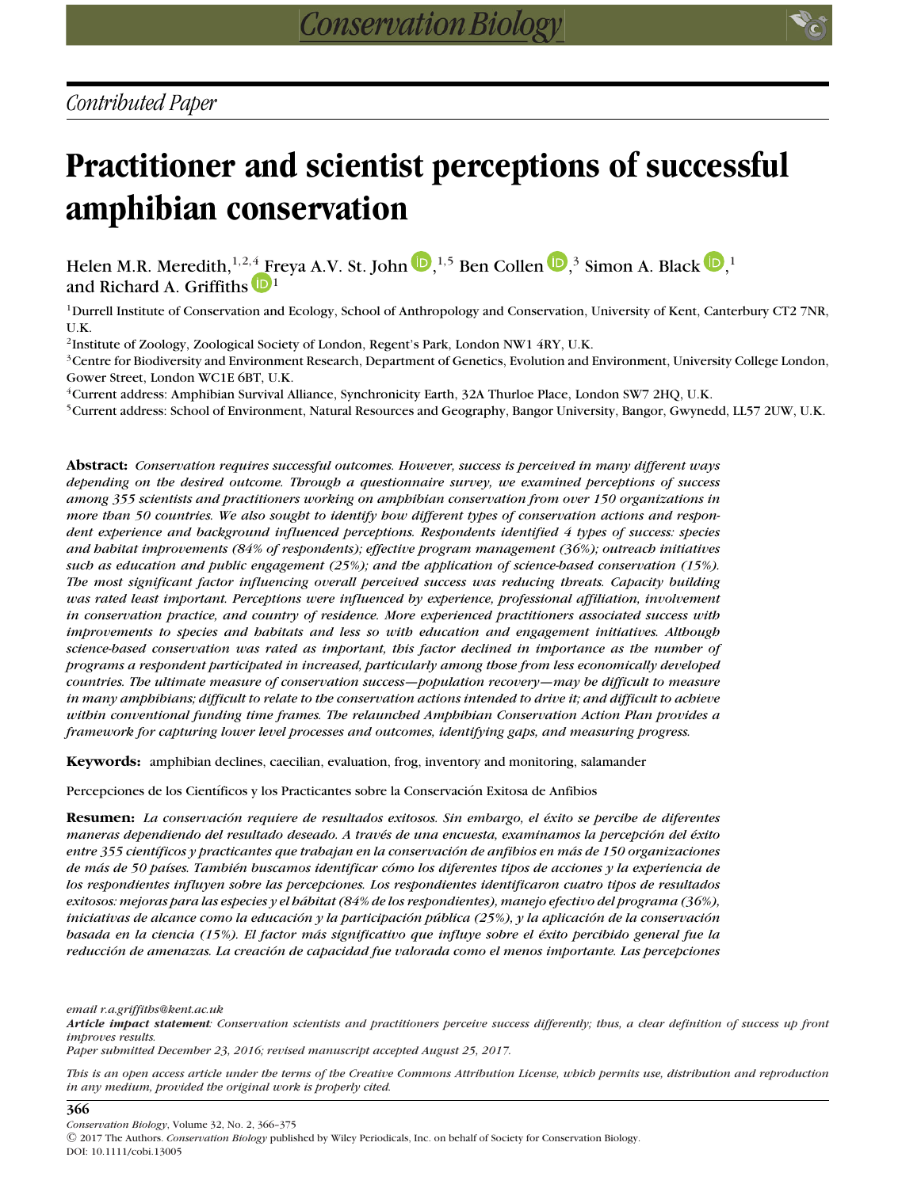# **Practitioner and scientist perceptions of successful amphibian conservation**

Helen M.R. Meredith[,](http://orcid.org/0000-0003-4931-7992)  $^{1,2,4}$  [F](http://orcid.org/0000-0002-5533-1013)reya A.V. St. John  $\mathbb{D}$ ,  $^{1,5}$  Ben Collen  $\mathbb{D}$ ,  $^3$  Simon A. Black  $\mathbb{D}$ ,  $^1$ and Richard A. Griffiths  $\mathbf{D}^1$ 

1Durrell Institute of Conservation and Ecology, School of Anthropology and Conservation, University of Kent, Canterbury CT2 7NR, U.K.

<sup>2</sup>Institute of Zoology, Zoological Society of London, Regent's Park, London NW1 4RY, U.K.

<sup>3</sup>Centre for Biodiversity and Environment Research, Department of Genetics, Evolution and Environment, University College London, Gower Street, London WC1E 6BT, U.K.

4Current address: Amphibian Survival Alliance, Synchronicity Earth, 32A Thurloe Place, London SW7 2HQ, U.K.

5Current address: School of Environment, Natural Resources and Geography, Bangor University, Bangor, Gwynedd, LL57 2UW, U.K.

**Abstract:** *Conservation requires successful outcomes. However, success is perceived in many different ways depending on the desired outcome. Through a questionnaire survey, we examined perceptions of success among 355 scientists and practitioners working on amphibian conservation from over 150 organizations in more than 50 countries. We also sought to identify how different types of conservation actions and respondent experience and background influenced perceptions. Respondents identified 4 types of success: species and habitat improvements (84% of respondents); effective program management (36%); outreach initiatives such as education and public engagement (25%); and the application of science-based conservation (15%). The most significant factor influencing overall perceived success was reducing threats. Capacity building was rated least important. Perceptions were influenced by experience, professional affiliation, involvement in conservation practice, and country of residence. More experienced practitioners associated success with improvements to species and habitats and less so with education and engagement initiatives. Although science-based conservation was rated as important, this factor declined in importance as the number of programs a respondent participated in increased, particularly among those from less economically developed countries. The ultimate measure of conservation success—population recovery—may be difficult to measure in many amphibians; difficult to relate to the conservation actions intended to drive it; and difficult to achieve within conventional funding time frames. The relaunched Amphibian Conservation Action Plan provides a framework for capturing lower level processes and outcomes, identifying gaps, and measuring progress.*

**Keywords:** amphibian declines, caecilian, evaluation, frog, inventory and monitoring, salamander

Percepciones de los Científicos y los Practicantes sobre la Conservación Exitosa de Anfibios

**Resumen:** *La conservacion requiere de resultados exitosos. Sin embargo, el ´ ´exito se percibe de diferentes maneras dependiendo del resultado deseado. A trav´es de una encuesta, examinamos la percepcion del ´ ´exito entre 355 cient´ıficos y practicantes que trabajan en la conservacion de anfibios en m ´ as de 150 organizaciones ´ de mas de 50 pa ´ ´ıses. Tambi´en buscamos identificar como los diferentes tipos de acciones y la experiencia de ´ los respondientes influyen sobre las percepciones. Los respondientes identificaron cuatro tipos de resultados exitosos: mejoras para las especies y el habitat (84% de los respondientes), manejo efectivo del programa (36%), ´ iniciativas de alcance como la educacion y la participaci ´ on p ´ ublica (25%), y la aplicaci ´ on de la conservaci ´ on´ basada en la ciencia (15%). El factor mas significativo que influye sobre el ´ ´exito percibido general fue la reduccion de amenazas. La creaci ´ on de capacidad fue valorada como el menos importante. Las percepciones ´*

*email r.a.griffiths@kent.ac.uk*

*Article impact statement: Conservation scientists and practitioners perceive success differently; thus, a clear definition of success up front improves results.*

*Paper submitted December 23, 2016; revised manuscript accepted August 25, 2017.*

*This is an open access article under the terms of the [Creative Commons Attribution](http://creativecommons.org/licenses/by/4.0/) License, which permits use, distribution and reproduction in any medium, provided the original work is properly cited.*

#### **366**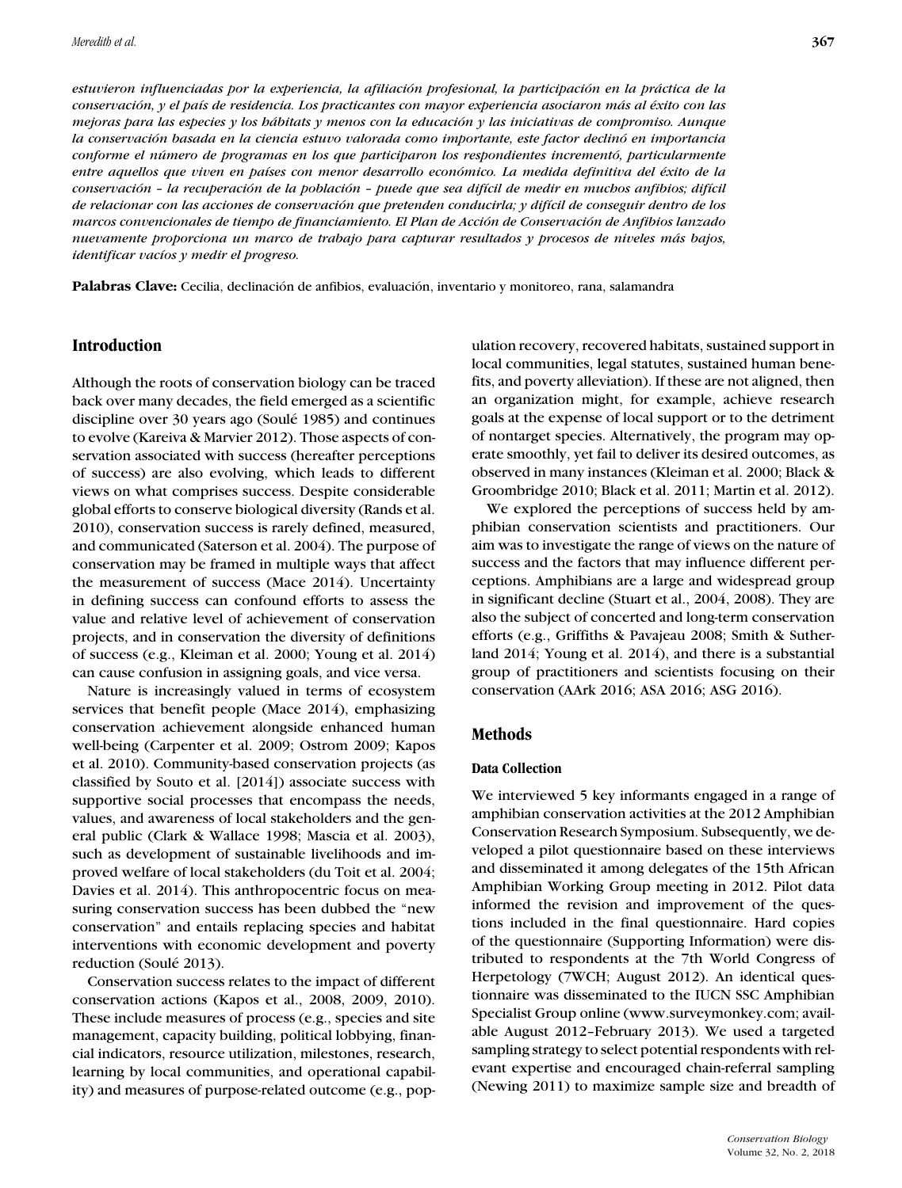*estuvieron influenciadas por la experiencia, la afiliacion profesional, la participaci ´ on en la pr ´ actica de la ´ conservacion, y el pa ´ ´ıs de residencia. Los practicantes con mayor experiencia asociaron mas al ´ ´exito con las mejoras para las especies y los habitats y menos con la educaci ´ on y las iniciativas de compromiso. Aunque ´ la conservacion basada en la ciencia estuvo valorada como importante, este factor declin ´ o en importancia ´ conforme el numero de programas en los que participaron los respondientes increment ´ o, particularmente ´ entre aquellos que viven en pa´ıses con menor desarrollo economico. La medida definitiva del ´ ´exito de la conservacion – la recuperaci ´ on de la poblaci ´ on – puede que sea dif ´ ´ıcil de medir en muchos anfibios; dif´ıcil de relacionar con las acciones de conservacion que pretenden conducirla; y dif ´ ´ıcil de conseguir dentro de los marcos convencionales de tiempo de financiamiento. El Plan de Accion de Conservaci ´ on de Anfibios lanzado ´ nuevamente proporciona un marco de trabajo para capturar resultados y procesos de niveles mas bajos, ´ identificar vacíos y medir el progreso.* 

Palabras Clave: Cecilia, declinación de anfibios, evaluación, inventario y monitoreo, rana, salamandra

## **Introduction**

Although the roots of conservation biology can be traced back over many decades, the field emerged as a scientific discipline over 30 years ago (Soulé 1985) and continues to evolve (Kareiva & Marvier 2012). Those aspects of conservation associated with success (hereafter perceptions of success) are also evolving, which leads to different views on what comprises success. Despite considerable global efforts to conserve biological diversity (Rands et al. 2010), conservation success is rarely defined, measured, and communicated (Saterson et al. 2004). The purpose of conservation may be framed in multiple ways that affect the measurement of success (Mace 2014). Uncertainty in defining success can confound efforts to assess the value and relative level of achievement of conservation projects, and in conservation the diversity of definitions of success (e.g., Kleiman et al. 2000; Young et al. 2014) can cause confusion in assigning goals, and vice versa.

Nature is increasingly valued in terms of ecosystem services that benefit people (Mace 2014), emphasizing conservation achievement alongside enhanced human well-being (Carpenter et al. 2009; Ostrom 2009; Kapos et al. 2010). Community-based conservation projects (as classified by Souto et al. [2014]) associate success with supportive social processes that encompass the needs, values, and awareness of local stakeholders and the general public (Clark & Wallace 1998; Mascia et al. 2003), such as development of sustainable livelihoods and improved welfare of local stakeholders (du Toit et al. 2004; Davies et al. 2014). This anthropocentric focus on measuring conservation success has been dubbed the "new conservation" and entails replacing species and habitat interventions with economic development and poverty reduction (Soulé 2013).

Conservation success relates to the impact of different conservation actions (Kapos et al., 2008, 2009, 2010). These include measures of process (e.g., species and site management, capacity building, political lobbying, financial indicators, resource utilization, milestones, research, learning by local communities, and operational capability) and measures of purpose-related outcome (e.g., population recovery, recovered habitats, sustained support in local communities, legal statutes, sustained human benefits, and poverty alleviation). If these are not aligned, then an organization might, for example, achieve research goals at the expense of local support or to the detriment of nontarget species. Alternatively, the program may operate smoothly, yet fail to deliver its desired outcomes, as observed in many instances (Kleiman et al. 2000; Black & Groombridge 2010; Black et al. 2011; Martin et al. 2012).

We explored the perceptions of success held by amphibian conservation scientists and practitioners. Our aim was to investigate the range of views on the nature of success and the factors that may influence different perceptions. Amphibians are a large and widespread group in significant decline (Stuart et al., 2004, 2008). They are also the subject of concerted and long-term conservation efforts (e.g., Griffiths & Pavajeau 2008; Smith & Sutherland 2014; Young et al. 2014), and there is a substantial group of practitioners and scientists focusing on their conservation (AArk 2016; ASA 2016; ASG 2016).

## **Methods**

#### **Data Collection**

We interviewed 5 key informants engaged in a range of amphibian conservation activities at the 2012 Amphibian Conservation Research Symposium. Subsequently, we developed a pilot questionnaire based on these interviews and disseminated it among delegates of the 15th African Amphibian Working Group meeting in 2012. Pilot data informed the revision and improvement of the questions included in the final questionnaire. Hard copies of the questionnaire (Supporting Information) were distributed to respondents at the 7th World Congress of Herpetology (7WCH; August 2012). An identical questionnaire was disseminated to the IUCN SSC Amphibian Specialist Group online [\(www.surveymonkey.com;](http://www.surveymonkey.com) available August 2012–February 2013). We used a targeted sampling strategy to select potential respondents with relevant expertise and encouraged chain-referral sampling (Newing 2011) to maximize sample size and breadth of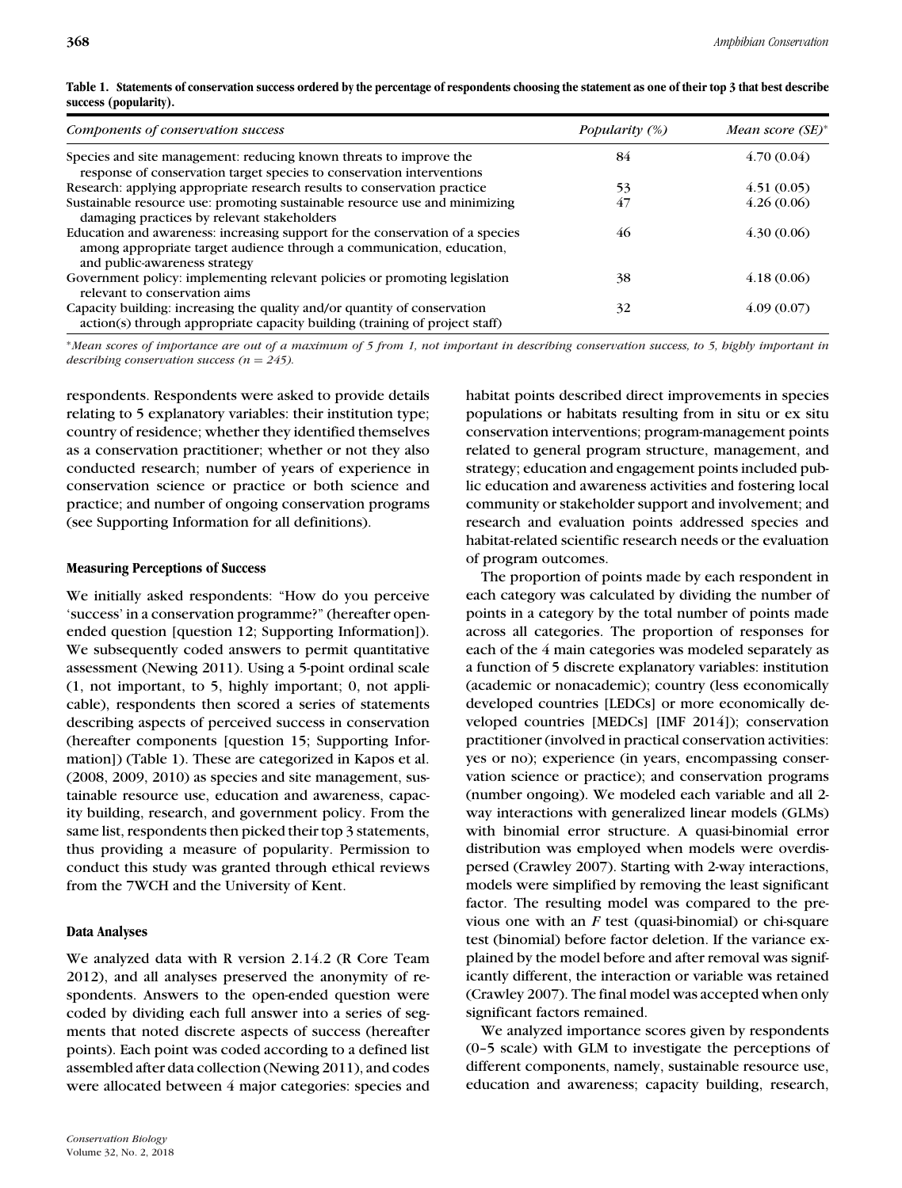| Components of conservation success                                                                                                                                                      | Popularity (%) | Mean score (SE)* |
|-----------------------------------------------------------------------------------------------------------------------------------------------------------------------------------------|----------------|------------------|
| Species and site management: reducing known threats to improve the<br>response of conservation target species to conservation interventions                                             | 84             | 4.70(0.04)       |
| Research: applying appropriate research results to conservation practice                                                                                                                | 53             | 4.51(0.05)       |
| Sustainable resource use: promoting sustainable resource use and minimizing<br>damaging practices by relevant stakeholders                                                              | 47             | 4.26(0.06)       |
| Education and awareness: increasing support for the conservation of a species<br>among appropriate target audience through a communication, education,<br>and public-awareness strategy | 46             | 4.30(0.06)       |
| Government policy: implementing relevant policies or promoting legislation<br>relevant to conservation aims                                                                             | 38             | 4.18(0.06)       |
| Capacity building: increasing the quality and/or quantity of conservation<br>action(s) through appropriate capacity building (training of project staff)                                | 32             | 4.09(0.07)       |

| Table 1. Statements of conservation success ordered by the percentage of respondents choosing the statement as one of their top 3 that best describe |
|------------------------------------------------------------------------------------------------------------------------------------------------------|
| success (popularity).                                                                                                                                |

∗*Mean scores of importance are out of a maximum of 5 from 1, not important in describing conservation success, to 5, highly important in describing conservation success (n* = *245).*

respondents. Respondents were asked to provide details relating to 5 explanatory variables: their institution type; country of residence; whether they identified themselves as a conservation practitioner; whether or not they also conducted research; number of years of experience in conservation science or practice or both science and practice; and number of ongoing conservation programs (see Supporting Information for all definitions).

### **Measuring Perceptions of Success**

We initially asked respondents: "How do you perceive 'success' in a conservation programme?" (hereafter openended question [question 12; Supporting Information]). We subsequently coded answers to permit quantitative assessment (Newing 2011). Using a 5-point ordinal scale (1, not important, to 5, highly important; 0, not applicable), respondents then scored a series of statements describing aspects of perceived success in conservation (hereafter components [question 15; Supporting Information]) (Table 1). These are categorized in Kapos et al. (2008, 2009, 2010) as species and site management, sustainable resource use, education and awareness, capacity building, research, and government policy. From the same list, respondents then picked their top 3 statements, thus providing a measure of popularity. Permission to conduct this study was granted through ethical reviews from the 7WCH and the University of Kent.

#### **Data Analyses**

We analyzed data with R version 2.14.2 (R Core Team 2012), and all analyses preserved the anonymity of respondents. Answers to the open-ended question were coded by dividing each full answer into a series of segments that noted discrete aspects of success (hereafter points). Each point was coded according to a defined list assembled after data collection (Newing 2011), and codes were allocated between 4 major categories: species and

habitat points described direct improvements in species populations or habitats resulting from in situ or ex situ conservation interventions; program-management points related to general program structure, management, and strategy; education and engagement points included public education and awareness activities and fostering local community or stakeholder support and involvement; and research and evaluation points addressed species and habitat-related scientific research needs or the evaluation of program outcomes.

The proportion of points made by each respondent in each category was calculated by dividing the number of points in a category by the total number of points made across all categories. The proportion of responses for each of the 4 main categories was modeled separately as a function of 5 discrete explanatory variables: institution (academic or nonacademic); country (less economically developed countries [LEDCs] or more economically developed countries [MEDCs] [IMF 2014]); conservation practitioner (involved in practical conservation activities: yes or no); experience (in years, encompassing conservation science or practice); and conservation programs (number ongoing). We modeled each variable and all 2 way interactions with generalized linear models (GLMs) with binomial error structure. A quasi-binomial error distribution was employed when models were overdispersed (Crawley 2007). Starting with 2-way interactions, models were simplified by removing the least significant factor. The resulting model was compared to the previous one with an *F* test (quasi-binomial) or chi-square test (binomial) before factor deletion. If the variance explained by the model before and after removal was significantly different, the interaction or variable was retained (Crawley 2007). The final model was accepted when only significant factors remained.

We analyzed importance scores given by respondents (0–5 scale) with GLM to investigate the perceptions of different components, namely, sustainable resource use, education and awareness; capacity building, research,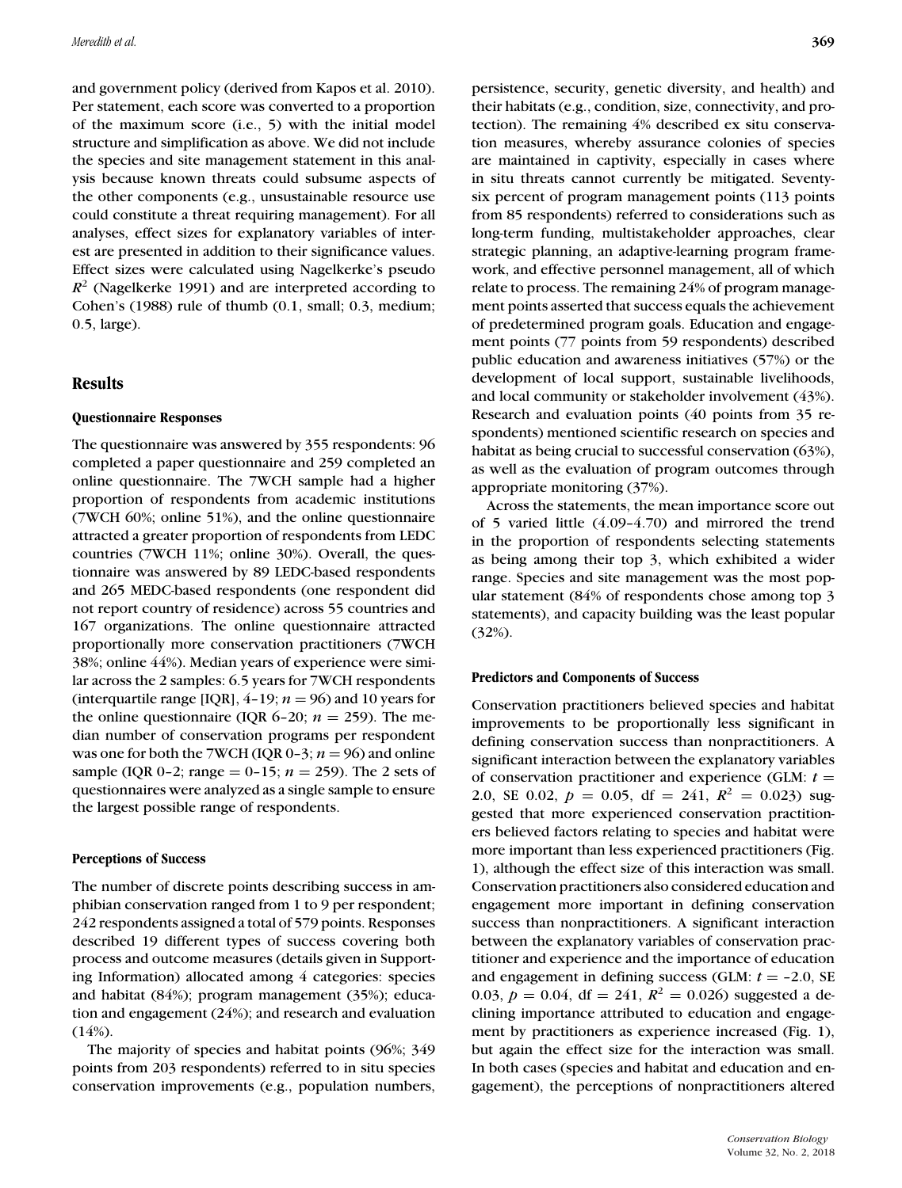and government policy (derived from Kapos et al. 2010). Per statement, each score was converted to a proportion of the maximum score (i.e., 5) with the initial model structure and simplification as above. We did not include the species and site management statement in this analysis because known threats could subsume aspects of the other components (e.g., unsustainable resource use could constitute a threat requiring management). For all analyses, effect sizes for explanatory variables of interest are presented in addition to their significance values. Effect sizes were calculated using Nagelkerke's pseudo  $R^2$  (Nagelkerke 1991) and are interpreted according to Cohen's (1988) rule of thumb (0.1, small; 0.3, medium; 0.5, large).

### **Results**

#### **Questionnaire Responses**

The questionnaire was answered by 355 respondents: 96 completed a paper questionnaire and 259 completed an online questionnaire. The 7WCH sample had a higher proportion of respondents from academic institutions (7WCH 60%; online 51%), and the online questionnaire attracted a greater proportion of respondents from LEDC countries (7WCH 11%; online 30%). Overall, the questionnaire was answered by 89 LEDC-based respondents and 265 MEDC-based respondents (one respondent did not report country of residence) across 55 countries and 167 organizations. The online questionnaire attracted proportionally more conservation practitioners (7WCH 38%; online 44%). Median years of experience were similar across the 2 samples: 6.5 years for 7WCH respondents (interquartile range [IQR],  $4-19$ ;  $n = 96$ ) and 10 years for the online questionnaire (IQR 6-20;  $n = 259$ ). The median number of conservation programs per respondent was one for both the 7WCH (IQR 0-3;  $n = 96$ ) and online sample (IQR 0–2; range = 0–15;  $n = 259$ ). The 2 sets of questionnaires were analyzed as a single sample to ensure the largest possible range of respondents.

## **Perceptions of Success**

The number of discrete points describing success in amphibian conservation ranged from 1 to 9 per respondent; 242 respondents assigned a total of 579 points. Responses described 19 different types of success covering both process and outcome measures (details given in Supporting Information) allocated among 4 categories: species and habitat (84%); program management (35%); education and engagement (24%); and research and evaluation (14%).

The majority of species and habitat points (96%; 349 points from 203 respondents) referred to in situ species conservation improvements (e.g., population numbers,

persistence, security, genetic diversity, and health) and their habitats (e.g., condition, size, connectivity, and protection). The remaining 4% described ex situ conservation measures, whereby assurance colonies of species are maintained in captivity, especially in cases where in situ threats cannot currently be mitigated. Seventysix percent of program management points (113 points from 85 respondents) referred to considerations such as long-term funding, multistakeholder approaches, clear strategic planning, an adaptive-learning program framework, and effective personnel management, all of which relate to process. The remaining 24% of program management points asserted that success equals the achievement of predetermined program goals. Education and engagement points (77 points from 59 respondents) described public education and awareness initiatives (57%) or the development of local support, sustainable livelihoods, and local community or stakeholder involvement (43%). Research and evaluation points (40 points from 35 respondents) mentioned scientific research on species and habitat as being crucial to successful conservation (63%), as well as the evaluation of program outcomes through appropriate monitoring (37%).

Across the statements, the mean importance score out of 5 varied little (4.09–4.70) and mirrored the trend in the proportion of respondents selecting statements as being among their top 3, which exhibited a wider range. Species and site management was the most popular statement (84% of respondents chose among top 3 statements), and capacity building was the least popular (32%).

#### **Predictors and Components of Success**

Conservation practitioners believed species and habitat improvements to be proportionally less significant in defining conservation success than nonpractitioners. A significant interaction between the explanatory variables of conservation practitioner and experience (GLM:  $t =$ 2.0, SE 0.02,  $p = 0.05$ , df = 241,  $R^2 = 0.023$ ) suggested that more experienced conservation practitioners believed factors relating to species and habitat were more important than less experienced practitioners (Fig. 1), although the effect size of this interaction was small. Conservation practitioners also considered education and engagement more important in defining conservation success than nonpractitioners. A significant interaction between the explanatory variables of conservation practitioner and experience and the importance of education and engagement in defining success (GLM:  $t = -2.0$ , SE 0.03,  $p = 0.04$ , df = 241,  $R^2 = 0.026$ ) suggested a declining importance attributed to education and engagement by practitioners as experience increased (Fig. 1), but again the effect size for the interaction was small. In both cases (species and habitat and education and engagement), the perceptions of nonpractitioners altered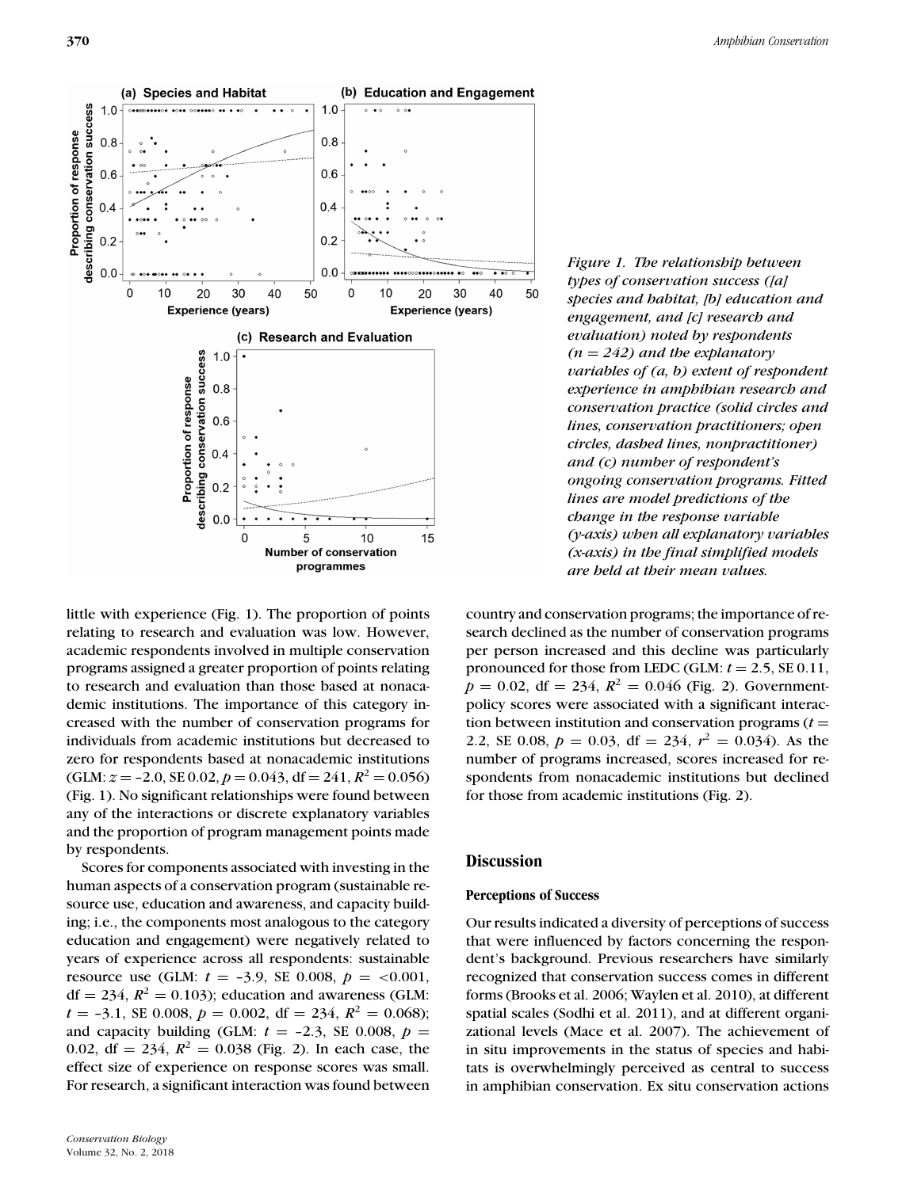

little with experience (Fig. 1). The proportion of points relating to research and evaluation was low. However, academic respondents involved in multiple conservation programs assigned a greater proportion of points relating to research and evaluation than those based at nonacademic institutions. The importance of this category increased with the number of conservation programs for individuals from academic institutions but decreased to zero for respondents based at nonacademic institutions  $(GLM: z = -2.0, SE 0.02, p = 0.043, df = 241, R<sup>2</sup> = 0.056)$ (Fig. 1). No significant relationships were found between any of the interactions or discrete explanatory variables and the proportion of program management points made by respondents.

Scores for components associated with investing in the human aspects of a conservation program (sustainable resource use, education and awareness, and capacity building; i.e., the components most analogous to the category education and engagement) were negatively related to years of experience across all respondents: sustainable resource use (GLM: *t* = –3.9, SE 0.008, *p* = *<*0.001,  $df = 234$ ,  $R^2 = 0.103$ ); education and awareness (GLM:  $t = -3.1$ , SE 0.008,  $p = 0.002$ , df = 234,  $R^2 = 0.068$ ); and capacity building (GLM:  $t = -2.3$ , SE 0.008,  $p =$ 0.02, df = 234,  $R^2$  = 0.038 (Fig. 2). In each case, the effect size of experience on response scores was small. For research, a significant interaction was found between

*Figure 1. The relationship between types of conservation success ([a] species and habitat, [b] education and engagement, and [c] research and evaluation) noted by respondents (n* = *242) and the explanatory variables of (a, b) extent of respondent experience in amphibian research and conservation practice (solid circles and lines, conservation practitioners; open circles, dashed lines, nonpractitioner) and (c) number of respondent's ongoing conservation programs. Fitted lines are model predictions of the change in the response variable (y-axis) when all explanatory variables (x-axis) in the final simplified models are held at their mean values.*

country and conservation programs; the importance of research declined as the number of conservation programs per person increased and this decline was particularly pronounced for those from LEDC (GLM:  $t = 2.5$ , SE 0.11,  $p = 0.02$ , df = 234,  $R^2 = 0.046$  (Fig. 2). Governmentpolicy scores were associated with a significant interaction between institution and conservation programs  $(t =$ 2.2, SE 0.08,  $p = 0.03$ , df = 234,  $r^2 = 0.034$ ). As the number of programs increased, scores increased for respondents from nonacademic institutions but declined for those from academic institutions (Fig. 2).

## **Discussion**

#### **Perceptions of Success**

Our results indicated a diversity of perceptions of success that were influenced by factors concerning the respondent's background. Previous researchers have similarly recognized that conservation success comes in different forms (Brooks et al. 2006; Waylen et al. 2010), at different spatial scales (Sodhi et al. 2011), and at different organizational levels (Mace et al. 2007). The achievement of in situ improvements in the status of species and habitats is overwhelmingly perceived as central to success in amphibian conservation. Ex situ conservation actions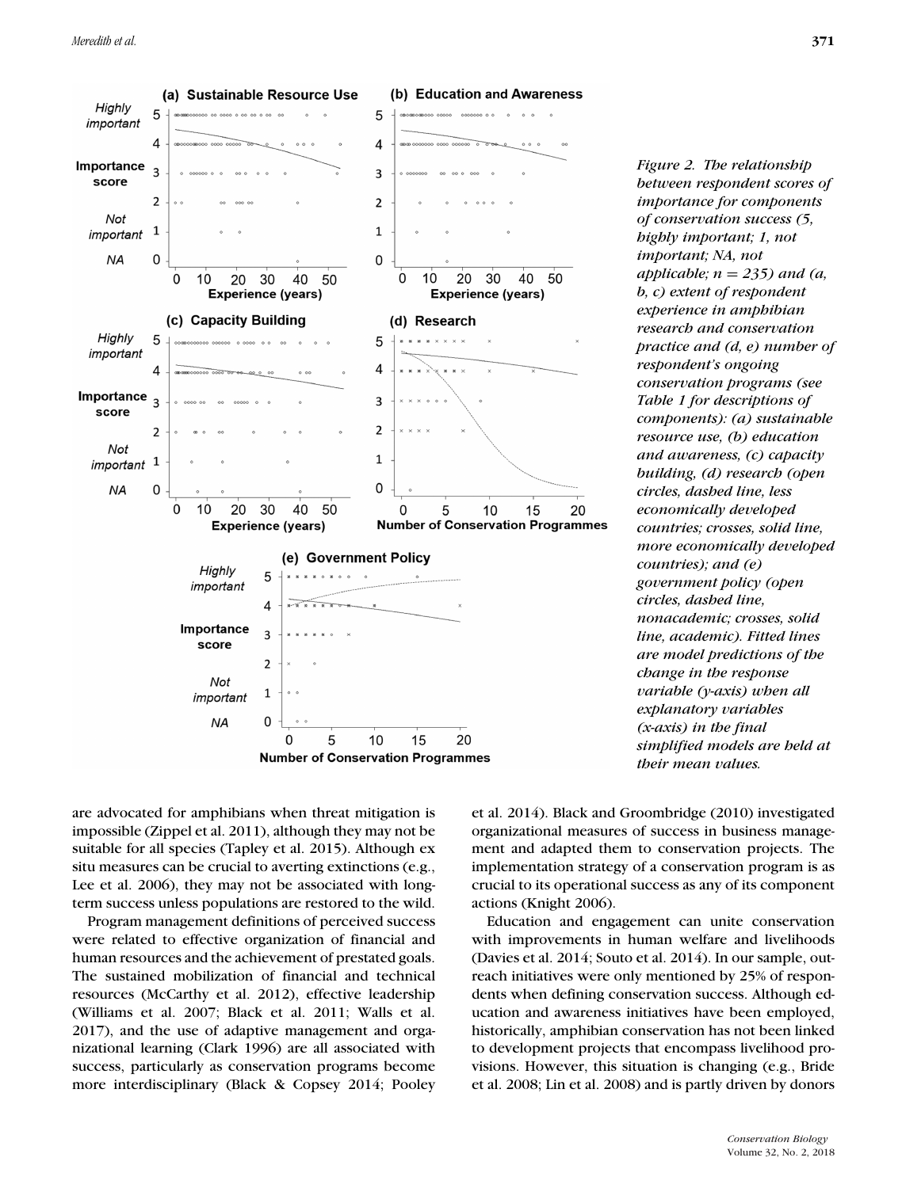

*Figure 2. The relationship between respondent scores of importance for components of conservation success (5, highly important; 1, not important; NA, not applicable; n* = *235) and (a, b, c) extent of respondent experience in amphibian research and conservation practice and (d, e) number of respondent's ongoing conservation programs (see Table 1 for descriptions of components): (a) sustainable resource use, (b) education and awareness, (c) capacity building, (d) research (open circles, dashed line, less economically developed countries; crosses, solid line, more economically developed countries); and (e) government policy (open circles, dashed line, nonacademic; crosses, solid line, academic). Fitted lines are model predictions of the change in the response variable (y-axis) when all explanatory variables (x-axis) in the final simplified models are held at their mean values.*

are advocated for amphibians when threat mitigation is impossible (Zippel et al. 2011), although they may not be suitable for all species (Tapley et al. 2015). Although ex situ measures can be crucial to averting extinctions (e.g., Lee et al. 2006), they may not be associated with longterm success unless populations are restored to the wild.

Program management definitions of perceived success were related to effective organization of financial and human resources and the achievement of prestated goals. The sustained mobilization of financial and technical resources (McCarthy et al. 2012), effective leadership (Williams et al. 2007; Black et al. 2011; Walls et al. 2017), and the use of adaptive management and organizational learning (Clark 1996) are all associated with success, particularly as conservation programs become more interdisciplinary (Black & Copsey 2014; Pooley et al. 2014). Black and Groombridge (2010) investigated organizational measures of success in business management and adapted them to conservation projects. The implementation strategy of a conservation program is as crucial to its operational success as any of its component actions (Knight 2006).

Education and engagement can unite conservation with improvements in human welfare and livelihoods (Davies et al. 2014; Souto et al. 2014). In our sample, outreach initiatives were only mentioned by 25% of respondents when defining conservation success. Although education and awareness initiatives have been employed, historically, amphibian conservation has not been linked to development projects that encompass livelihood provisions. However, this situation is changing (e.g., Bride et al. 2008; Lin et al. 2008) and is partly driven by donors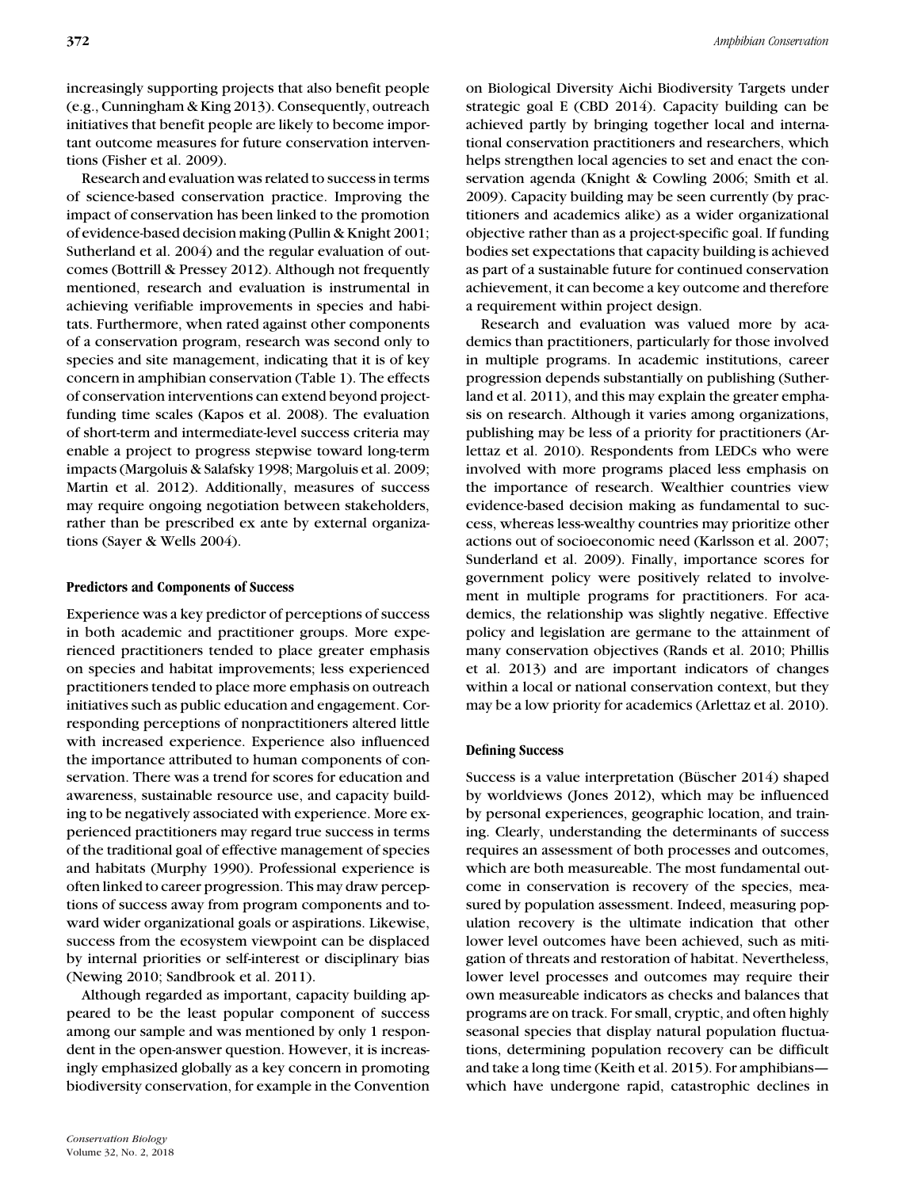increasingly supporting projects that also benefit people (e.g., Cunningham & King 2013). Consequently, outreach initiatives that benefit people are likely to become important outcome measures for future conservation interventions (Fisher et al. 2009).

Research and evaluation was related to success in terms of science-based conservation practice. Improving the impact of conservation has been linked to the promotion of evidence-based decision making (Pullin & Knight 2001; Sutherland et al. 2004) and the regular evaluation of outcomes (Bottrill & Pressey 2012). Although not frequently mentioned, research and evaluation is instrumental in achieving verifiable improvements in species and habitats. Furthermore, when rated against other components of a conservation program, research was second only to species and site management, indicating that it is of key concern in amphibian conservation (Table 1). The effects of conservation interventions can extend beyond projectfunding time scales (Kapos et al. 2008). The evaluation of short-term and intermediate-level success criteria may enable a project to progress stepwise toward long-term impacts (Margoluis & Salafsky 1998; Margoluis et al. 2009; Martin et al. 2012). Additionally, measures of success may require ongoing negotiation between stakeholders, rather than be prescribed ex ante by external organizations (Sayer & Wells 2004).

#### **Predictors and Components of Success**

Experience was a key predictor of perceptions of success in both academic and practitioner groups. More experienced practitioners tended to place greater emphasis on species and habitat improvements; less experienced practitioners tended to place more emphasis on outreach initiatives such as public education and engagement. Corresponding perceptions of nonpractitioners altered little with increased experience. Experience also influenced the importance attributed to human components of conservation. There was a trend for scores for education and awareness, sustainable resource use, and capacity building to be negatively associated with experience. More experienced practitioners may regard true success in terms of the traditional goal of effective management of species and habitats (Murphy 1990). Professional experience is often linked to career progression. This may draw perceptions of success away from program components and toward wider organizational goals or aspirations. Likewise, success from the ecosystem viewpoint can be displaced by internal priorities or self-interest or disciplinary bias (Newing 2010; Sandbrook et al. 2011).

Although regarded as important, capacity building appeared to be the least popular component of success among our sample and was mentioned by only 1 respondent in the open-answer question. However, it is increasingly emphasized globally as a key concern in promoting biodiversity conservation, for example in the Convention on Biological Diversity Aichi Biodiversity Targets under strategic goal E (CBD 2014). Capacity building can be achieved partly by bringing together local and international conservation practitioners and researchers, which helps strengthen local agencies to set and enact the conservation agenda (Knight & Cowling 2006; Smith et al. 2009). Capacity building may be seen currently (by practitioners and academics alike) as a wider organizational objective rather than as a project-specific goal. If funding bodies set expectations that capacity building is achieved as part of a sustainable future for continued conservation achievement, it can become a key outcome and therefore a requirement within project design.

Research and evaluation was valued more by academics than practitioners, particularly for those involved in multiple programs. In academic institutions, career progression depends substantially on publishing (Sutherland et al. 2011), and this may explain the greater emphasis on research. Although it varies among organizations, publishing may be less of a priority for practitioners (Arlettaz et al. 2010). Respondents from LEDCs who were involved with more programs placed less emphasis on the importance of research. Wealthier countries view evidence-based decision making as fundamental to success, whereas less-wealthy countries may prioritize other actions out of socioeconomic need (Karlsson et al. 2007; Sunderland et al. 2009). Finally, importance scores for government policy were positively related to involvement in multiple programs for practitioners. For academics, the relationship was slightly negative. Effective policy and legislation are germane to the attainment of many conservation objectives (Rands et al. 2010; Phillis et al. 2013) and are important indicators of changes within a local or national conservation context, but they may be a low priority for academics (Arlettaz et al. 2010).

#### **Defining Success**

Success is a value interpretation (Büscher 2014) shaped by worldviews (Jones 2012), which may be influenced by personal experiences, geographic location, and training. Clearly, understanding the determinants of success requires an assessment of both processes and outcomes, which are both measureable. The most fundamental outcome in conservation is recovery of the species, measured by population assessment. Indeed, measuring population recovery is the ultimate indication that other lower level outcomes have been achieved, such as mitigation of threats and restoration of habitat. Nevertheless, lower level processes and outcomes may require their own measureable indicators as checks and balances that programs are on track. For small, cryptic, and often highly seasonal species that display natural population fluctuations, determining population recovery can be difficult and take a long time (Keith et al. 2015). For amphibians which have undergone rapid, catastrophic declines in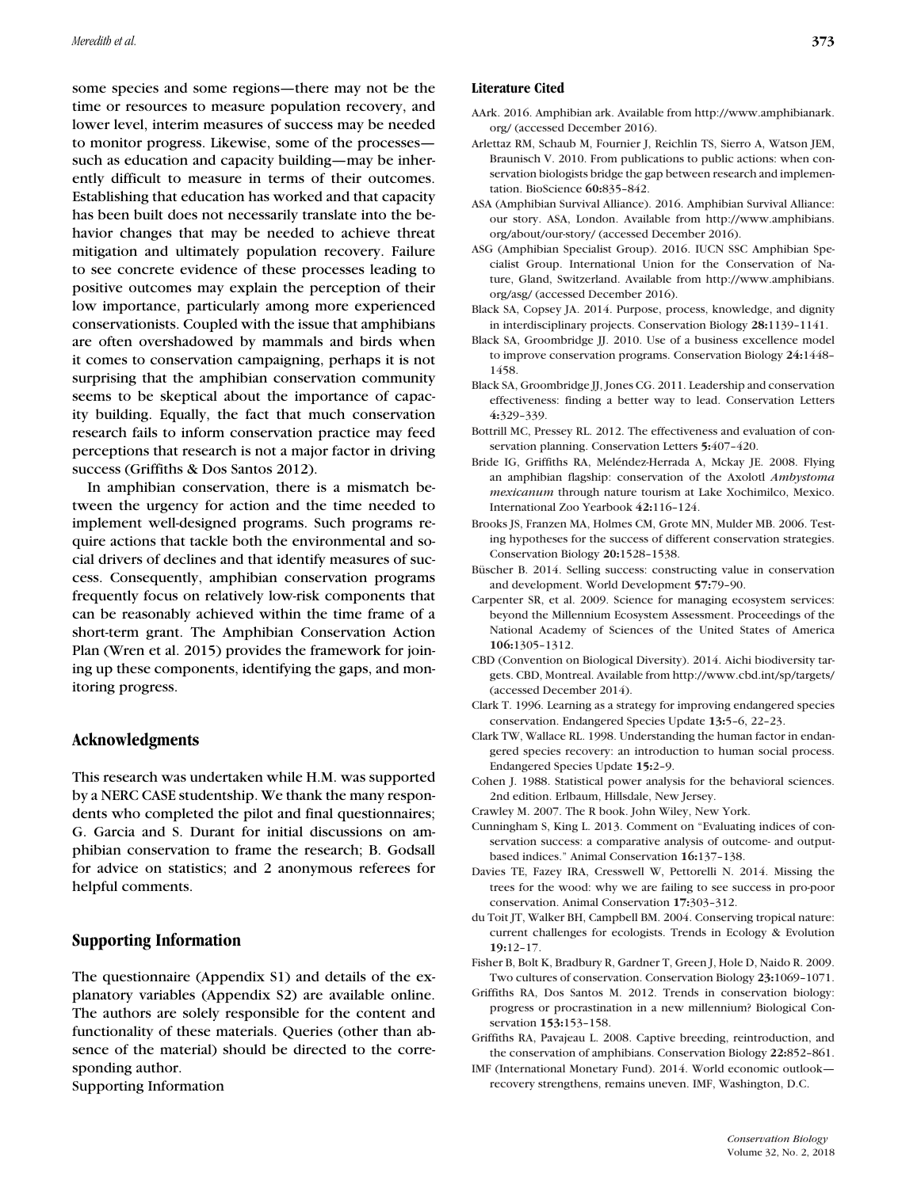some species and some regions—there may not be the time or resources to measure population recovery, and lower level, interim measures of success may be needed to monitor progress. Likewise, some of the processes such as education and capacity building—may be inherently difficult to measure in terms of their outcomes. Establishing that education has worked and that capacity has been built does not necessarily translate into the behavior changes that may be needed to achieve threat mitigation and ultimately population recovery. Failure to see concrete evidence of these processes leading to positive outcomes may explain the perception of their low importance, particularly among more experienced conservationists. Coupled with the issue that amphibians are often overshadowed by mammals and birds when it comes to conservation campaigning, perhaps it is not surprising that the amphibian conservation community seems to be skeptical about the importance of capacity building. Equally, the fact that much conservation research fails to inform conservation practice may feed perceptions that research is not a major factor in driving success (Griffiths & Dos Santos 2012).

In amphibian conservation, there is a mismatch between the urgency for action and the time needed to implement well-designed programs. Such programs require actions that tackle both the environmental and social drivers of declines and that identify measures of success. Consequently, amphibian conservation programs frequently focus on relatively low-risk components that can be reasonably achieved within the time frame of a short-term grant. The Amphibian Conservation Action Plan (Wren et al. 2015) provides the framework for joining up these components, identifying the gaps, and monitoring progress.

## **Acknowledgments**

This research was undertaken while H.M. was supported by a NERC CASE studentship. We thank the many respondents who completed the pilot and final questionnaires; G. Garcia and S. Durant for initial discussions on amphibian conservation to frame the research; B. Godsall for advice on statistics; and 2 anonymous referees for helpful comments.

## **Supporting Information**

The questionnaire (Appendix S1) and details of the explanatory variables (Appendix S2) are available online. The authors are solely responsible for the content and functionality of these materials. Queries (other than absence of the material) should be directed to the corresponding author.

Supporting Information

#### **Literature Cited**

- AArk. 2016. Amphibian ark. Available from [http://www.amphibianark.](http://www.amphibianark.org/) [org/](http://www.amphibianark.org/) (accessed December 2016).
- Arlettaz RM, Schaub M, Fournier J, Reichlin TS, Sierro A, Watson JEM, Braunisch V. 2010. From publications to public actions: when conservation biologists bridge the gap between research and implementation. BioScience **60:**835–842.
- ASA (Amphibian Survival Alliance). 2016. Amphibian Survival Alliance: our story. ASA, London. Available from [http://www.amphibians.](http://www.amphibians.org/about/our-story/) [org/about/our-story/](http://www.amphibians.org/about/our-story/) (accessed December 2016).
- ASG (Amphibian Specialist Group). 2016. IUCN SSC Amphibian Specialist Group. International Union for the Conservation of Nature, Gland, Switzerland. Available from [http://www.amphibians.](http://www.amphibians.org/asg/) [org/asg/](http://www.amphibians.org/asg/) (accessed December 2016).
- Black SA, Copsey JA. 2014. Purpose, process, knowledge, and dignity in interdisciplinary projects. Conservation Biology **28:**1139–1141.
- Black SA, Groombridge JJ. 2010. Use of a business excellence model to improve conservation programs. Conservation Biology **24:**1448– 1458.
- Black SA, Groombridge JJ, Jones CG. 2011. Leadership and conservation effectiveness: finding a better way to lead. Conservation Letters **4:**329–339.
- Bottrill MC, Pressey RL. 2012. The effectiveness and evaluation of conservation planning. Conservation Letters **5:**407–420.
- Bride IG, Griffiths RA, Meléndez-Herrada A, Mckay JE. 2008. Flying an amphibian flagship: conservation of the Axolotl *Ambystoma mexicanum* through nature tourism at Lake Xochimilco, Mexico. International Zoo Yearbook **42:**116–124.
- Brooks JS, Franzen MA, Holmes CM, Grote MN, Mulder MB. 2006. Testing hypotheses for the success of different conservation strategies. Conservation Biology **20:**1528–1538.
- Büscher B. 2014. Selling success: constructing value in conservation and development. World Development **57:**79–90.
- Carpenter SR, et al. 2009. Science for managing ecosystem services: beyond the Millennium Ecosystem Assessment. Proceedings of the National Academy of Sciences of the United States of America **106:**1305–1312.
- CBD (Convention on Biological Diversity). 2014. Aichi biodiversity targets. CBD, Montreal. Available from<http://www.cbd.int/sp/targets/> (accessed December 2014).
- Clark T. 1996. Learning as a strategy for improving endangered species conservation. Endangered Species Update **13:**5–6, 22–23.
- Clark TW, Wallace RL. 1998. Understanding the human factor in endangered species recovery: an introduction to human social process. Endangered Species Update **15:**2–9.
- Cohen J. 1988. Statistical power analysis for the behavioral sciences. 2nd edition. Erlbaum, Hillsdale, New Jersey.
- Crawley M. 2007. The R book. John Wiley, New York.
- Cunningham S, King L. 2013. Comment on "Evaluating indices of conservation success: a comparative analysis of outcome- and outputbased indices." Animal Conservation **16:**137–138.
- Davies TE, Fazey IRA, Cresswell W, Pettorelli N. 2014. Missing the trees for the wood: why we are failing to see success in pro-poor conservation. Animal Conservation **17:**303–312.
- du Toit JT, Walker BH, Campbell BM. 2004. Conserving tropical nature: current challenges for ecologists. Trends in Ecology & Evolution **19:**12–17.
- Fisher B, Bolt K, Bradbury R, Gardner T, Green J, Hole D, Naido R. 2009. Two cultures of conservation. Conservation Biology **23:**1069–1071.
- Griffiths RA, Dos Santos M. 2012. Trends in conservation biology: progress or procrastination in a new millennium? Biological Conservation **153:**153–158.
- Griffiths RA, Pavajeau L. 2008. Captive breeding, reintroduction, and the conservation of amphibians. Conservation Biology **22:**852–861.
- IMF (International Monetary Fund). 2014. World economic outlook recovery strengthens, remains uneven. IMF, Washington, D.C.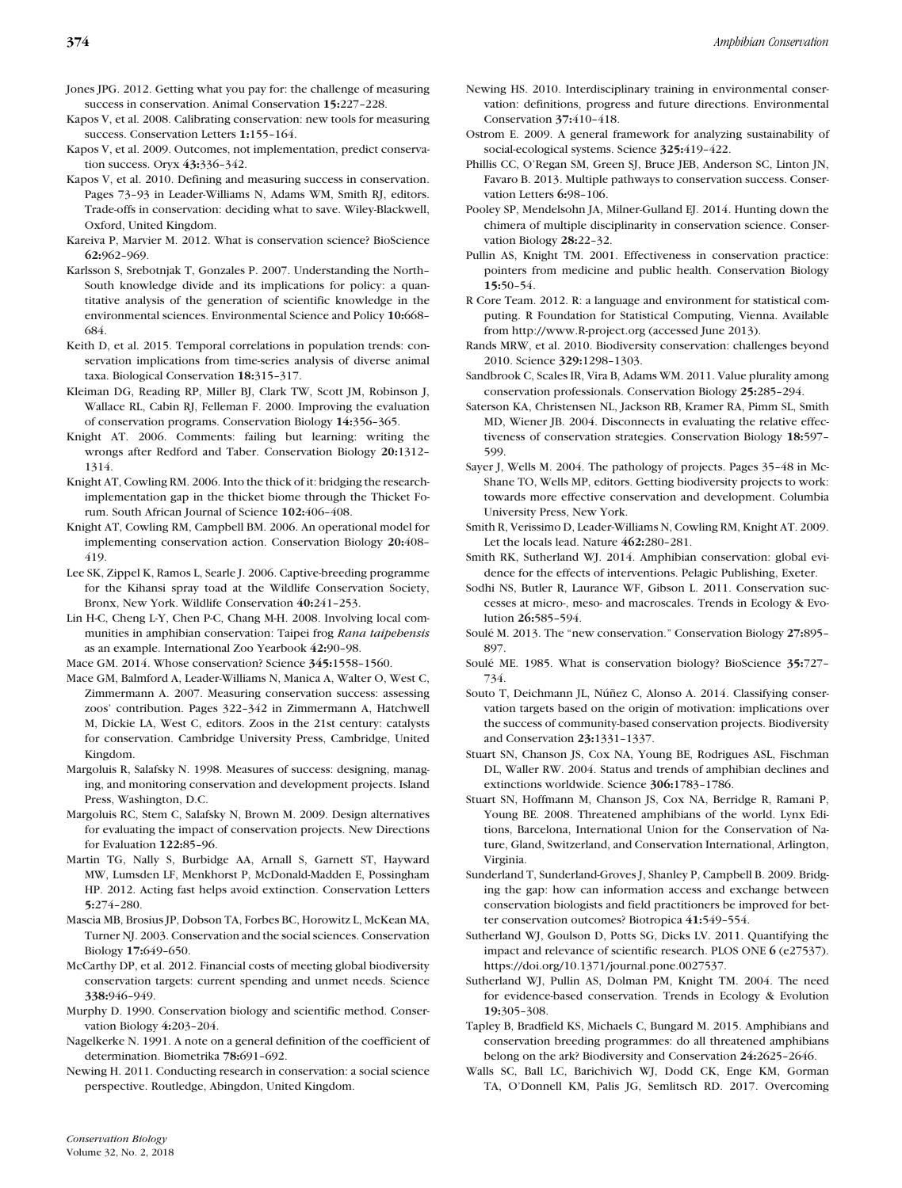- Kapos V, et al. 2008. Calibrating conservation: new tools for measuring success. Conservation Letters **1:**155–164.
- Kapos V, et al. 2009. Outcomes, not implementation, predict conservation success. Oryx **43:**336–342.
- Kapos V, et al. 2010. Defining and measuring success in conservation. Pages 73–93 in Leader-Williams N, Adams WM, Smith RJ, editors. Trade-offs in conservation: deciding what to save. Wiley-Blackwell, Oxford, United Kingdom.
- Kareiva P, Marvier M. 2012. What is conservation science? BioScience **62:**962–969.
- Karlsson S, Srebotnjak T, Gonzales P. 2007. Understanding the North– South knowledge divide and its implications for policy: a quantitative analysis of the generation of scientific knowledge in the environmental sciences. Environmental Science and Policy **10:**668– 684.
- Keith D, et al. 2015. Temporal correlations in population trends: conservation implications from time-series analysis of diverse animal taxa. Biological Conservation **18:**315–317.
- Kleiman DG, Reading RP, Miller BJ, Clark TW, Scott JM, Robinson J, Wallace RL, Cabin RJ, Felleman F. 2000. Improving the evaluation of conservation programs. Conservation Biology **14:**356–365.
- Knight AT. 2006. Comments: failing but learning: writing the wrongs after Redford and Taber. Conservation Biology **20:**1312– 1314.
- Knight AT, Cowling RM. 2006. Into the thick of it: bridging the researchimplementation gap in the thicket biome through the Thicket Forum. South African Journal of Science **102:**406–408.
- Knight AT, Cowling RM, Campbell BM. 2006. An operational model for implementing conservation action. Conservation Biology **20:**408– 419.
- Lee SK, Zippel K, Ramos L, Searle J. 2006. Captive-breeding programme for the Kihansi spray toad at the Wildlife Conservation Society, Bronx, New York. Wildlife Conservation **40:**241–253.
- Lin H-C, Cheng L-Y, Chen P-C, Chang M-H. 2008. Involving local communities in amphibian conservation: Taipei frog *Rana taipehensis* as an example. International Zoo Yearbook **42:**90–98.
- Mace GM. 2014. Whose conservation? Science **345:**1558–1560.
- Mace GM, Balmford A, Leader-Williams N, Manica A, Walter O, West C, Zimmermann A. 2007. Measuring conservation success: assessing zoos' contribution. Pages 322–342 in Zimmermann A, Hatchwell M, Dickie LA, West C, editors. Zoos in the 21st century: catalysts for conservation. Cambridge University Press, Cambridge, United Kingdom.
- Margoluis R, Salafsky N. 1998. Measures of success: designing, managing, and monitoring conservation and development projects. Island Press, Washington, D.C.
- Margoluis RC, Stem C, Salafsky N, Brown M. 2009. Design alternatives for evaluating the impact of conservation projects. New Directions for Evaluation **122:**85–96.
- Martin TG, Nally S, Burbidge AA, Arnall S, Garnett ST, Hayward MW, Lumsden LF, Menkhorst P, McDonald-Madden E, Possingham HP. 2012. Acting fast helps avoid extinction. Conservation Letters **5:**274–280.
- Mascia MB, Brosius JP, Dobson TA, Forbes BC, Horowitz L, McKean MA, Turner NJ. 2003. Conservation and the social sciences. Conservation Biology **17:**649–650.
- McCarthy DP, et al. 2012. Financial costs of meeting global biodiversity conservation targets: current spending and unmet needs. Science **338:**946–949.
- Murphy D. 1990. Conservation biology and scientific method. Conservation Biology **4:**203–204.
- Nagelkerke N. 1991. A note on a general definition of the coefficient of determination. Biometrika **78:**691–692.
- Newing H. 2011. Conducting research in conservation: a social science perspective. Routledge, Abingdon, United Kingdom.
- Newing HS. 2010. Interdisciplinary training in environmental conservation: definitions, progress and future directions. Environmental Conservation **37:**410–418.
- Ostrom E. 2009. A general framework for analyzing sustainability of social-ecological systems. Science **325:**419–422.
- Phillis CC, O'Regan SM, Green SJ, Bruce JEB, Anderson SC, Linton JN, Favaro B. 2013. Multiple pathways to conservation success. Conservation Letters **6:**98–106.
- Pooley SP, Mendelsohn JA, Milner-Gulland EJ. 2014. Hunting down the chimera of multiple disciplinarity in conservation science. Conservation Biology **28:**22–32.
- Pullin AS, Knight TM. 2001. Effectiveness in conservation practice: pointers from medicine and public health. Conservation Biology **15:**50–54.
- R Core Team. 2012. R: a language and environment for statistical computing. R Foundation for Statistical Computing, Vienna. Available from<http://www.R-project.org> (accessed June 2013).
- Rands MRW, et al. 2010. Biodiversity conservation: challenges beyond 2010. Science **329:**1298–1303.
- Sandbrook C, Scales IR, Vira B, Adams WM. 2011. Value plurality among conservation professionals. Conservation Biology **25:**285–294.
- Saterson KA, Christensen NL, Jackson RB, Kramer RA, Pimm SL, Smith MD, Wiener JB. 2004. Disconnects in evaluating the relative effectiveness of conservation strategies. Conservation Biology **18:**597– 599.
- Sayer J, Wells M. 2004. The pathology of projects. Pages 35–48 in Mc-Shane TO, Wells MP, editors. Getting biodiversity projects to work: towards more effective conservation and development. Columbia University Press, New York.
- Smith R, Verissimo D, Leader-Williams N, Cowling RM, Knight AT. 2009. Let the locals lead. Nature **462:**280–281.
- Smith RK, Sutherland WJ. 2014. Amphibian conservation: global evidence for the effects of interventions. Pelagic Publishing, Exeter.
- Sodhi NS, Butler R, Laurance WF, Gibson L. 2011. Conservation successes at micro-, meso- and macroscales. Trends in Ecology & Evolution **26:**585–594.
- Soulé M. 2013. The "new conservation." Conservation Biology 27:895-897.
- Soulé ME. 1985. What is conservation biology? BioScience 35:727-734.
- Souto T, Deichmann IL, Núñez C, Alonso A, 2014. Classifying conservation targets based on the origin of motivation: implications over the success of community-based conservation projects. Biodiversity and Conservation **23:**1331–1337.
- Stuart SN, Chanson JS, Cox NA, Young BE, Rodrigues ASL, Fischman DL, Waller RW. 2004. Status and trends of amphibian declines and extinctions worldwide. Science **306:**1783–1786.
- Stuart SN, Hoffmann M, Chanson JS, Cox NA, Berridge R, Ramani P, Young BE. 2008. Threatened amphibians of the world. Lynx Editions, Barcelona, International Union for the Conservation of Nature, Gland, Switzerland, and Conservation International, Arlington, Virginia.
- Sunderland T, Sunderland-Groves J, Shanley P, Campbell B. 2009. Bridging the gap: how can information access and exchange between conservation biologists and field practitioners be improved for better conservation outcomes? Biotropica **41:**549–554.
- Sutherland WJ, Goulson D, Potts SG, Dicks LV. 2011. Quantifying the impact and relevance of scientific research. PLOS ONE **6** (e27537). [https://doi.org/10.1371/journal.pone.0027537.](https://doi.org/10.1371/journal.pone.0027537)
- Sutherland WJ, Pullin AS, Dolman PM, Knight TM. 2004. The need for evidence-based conservation. Trends in Ecology & Evolution **19:**305–308.
- Tapley B, Bradfield KS, Michaels C, Bungard M. 2015. Amphibians and conservation breeding programmes: do all threatened amphibians belong on the ark? Biodiversity and Conservation **24:**2625–2646.
- Walls SC, Ball LC, Barichivich WJ, Dodd CK, Enge KM, Gorman TA, O'Donnell KM, Palis JG, Semlitsch RD. 2017. Overcoming